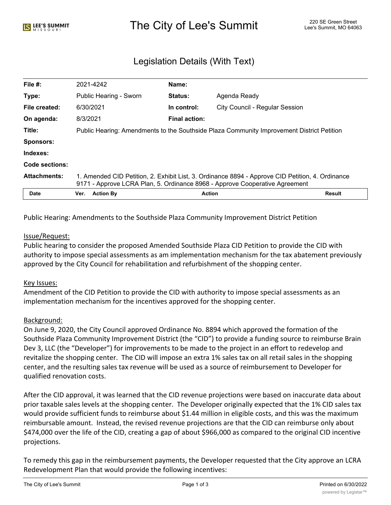# The City of Lee's Summit 220 SE Green Street Alex City of Lee's Summit, MO 64063

# Legislation Details (With Text)

| File $#$ :          | 2021-4242                                                                                                                                                                       | Name:                |                                |        |
|---------------------|---------------------------------------------------------------------------------------------------------------------------------------------------------------------------------|----------------------|--------------------------------|--------|
| Type:               | Public Hearing - Sworn                                                                                                                                                          | Status:              | Agenda Ready                   |        |
| File created:       | 6/30/2021                                                                                                                                                                       | In control:          | City Council - Regular Session |        |
| On agenda:          | 8/3/2021                                                                                                                                                                        | <b>Final action:</b> |                                |        |
| Title:              | Public Hearing: Amendments to the Southside Plaza Community Improvement District Petition                                                                                       |                      |                                |        |
| <b>Sponsors:</b>    |                                                                                                                                                                                 |                      |                                |        |
| Indexes:            |                                                                                                                                                                                 |                      |                                |        |
| Code sections:      |                                                                                                                                                                                 |                      |                                |        |
| <b>Attachments:</b> | 1. Amended CID Petition, 2. Exhibit List, 3. Ordinance 8894 - Approve CID Petition, 4. Ordinance<br>9171 - Approve LCRA Plan, 5. Ordinance 8968 - Approve Cooperative Agreement |                      |                                |        |
| <b>Date</b>         | Ver.<br><b>Action By</b>                                                                                                                                                        |                      | <b>Action</b>                  | Result |

Public Hearing: Amendments to the Southside Plaza Community Improvement District Petition

#### Issue/Request:

Public hearing to consider the proposed Amended Southside Plaza CID Petition to provide the CID with authority to impose special assessments as am implementation mechanism for the tax abatement previously approved by the City Council for rehabilitation and refurbishment of the shopping center.

#### Key Issues:

Amendment of the CID Petition to provide the CID with authority to impose special assessments as an implementation mechanism for the incentives approved for the shopping center.

#### Background:

On June 9, 2020, the City Council approved Ordinance No. 8894 which approved the formation of the Southside Plaza Community Improvement District (the "CID") to provide a funding source to reimburse Brain Dev 3, LLC (the "Developer") for improvements to be made to the project in an effort to redevelop and revitalize the shopping center. The CID will impose an extra 1% sales tax on all retail sales in the shopping center, and the resulting sales tax revenue will be used as a source of reimbursement to Developer for qualified renovation costs.

After the CID approval, it was learned that the CID revenue projections were based on inaccurate data about prior taxable sales levels at the shopping center. The Developer originally expected that the 1% CID sales tax would provide sufficient funds to reimburse about \$1.44 million in eligible costs, and this was the maximum reimbursable amount. Instead, the revised revenue projections are that the CID can reimburse only about \$474,000 over the life of the CID, creating a gap of about \$966,000 as compared to the original CID incentive projections.

To remedy this gap in the reimbursement payments, the Developer requested that the City approve an LCRA Redevelopment Plan that would provide the following incentives: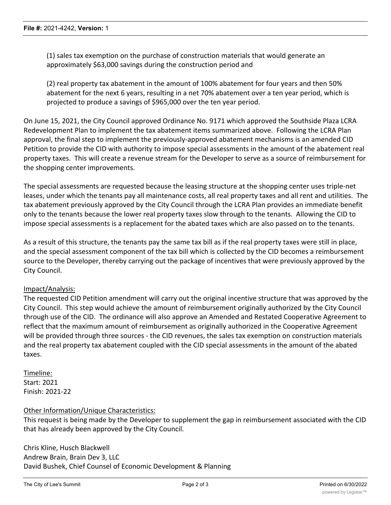(1) sales tax exemption on the purchase of construction materials that would generate an approximately \$63,000 savings during the construction period and

(2) real property tax abatement in the amount of 100% abatement for four years and then 50% abatement for the next 6 years, resulting in a net 70% abatement over a ten year period, which is projected to produce a savings of \$965,000 over the ten year period.

On June 15, 2021, the City Council approved Ordinance No. 9171 which approved the Southside Plaza LCRA Redevelopment Plan to implement the tax abatement items summarized above. Following the LCRA Plan approval, the final step to implement the previously-approved abatement mechanisms is an amended CID Petition to provide the CID with authority to impose special assessments in the amount of the abatement real property taxes. This will create a revenue stream for the Developer to serve as a source of reimbursement for the shopping center improvements.

The special assessments are requested because the leasing structure at the shopping center uses triple-net leases, under which the tenants pay all maintenance costs, all real property taxes and all rent and utilities. The tax abatement previously approved by the City Council through the LCRA Plan provides an immediate benefit only to the tenants because the lower real property taxes slow through to the tenants. Allowing the CID to impose special assessments is a replacement for the abated taxes which are also passed on to the tenants.

As a result of this structure, the tenants pay the same tax bill as if the real property taxes were still in place, and the special assessment component of the tax bill which is collected by the CID becomes a reimbursement source to the Developer, thereby carrying out the package of incentives that were previously approved by the City Council.

## Impact/Analysis:

The requested CID Petition amendment will carry out the original incentive structure that was approved by the City Council. This step would achieve the amount of reimbursement originally authorized by the City Council through use of the CID. The ordinance will also approve an Amended and Restated Cooperative Agreement to reflect that the maximum amount of reimbursement as originally authorized in the Cooperative Agreement will be provided through three sources - the CID revenues, the sales tax exemption on construction materials and the real property tax abatement coupled with the CID special assessments in the amount of the abated taxes.

Timeline: Start: 2021 Finish: 2021-22

#### Other Information/Unique Characteristics:

This request is being made by the Developer to supplement the gap in reimbursement associated with the CID that has already been approved by the City Council.

Chris Kline, Husch Blackwell Andrew Brain, Brain Dev 3, LLC David Bushek, Chief Counsel of Economic Development & Planning